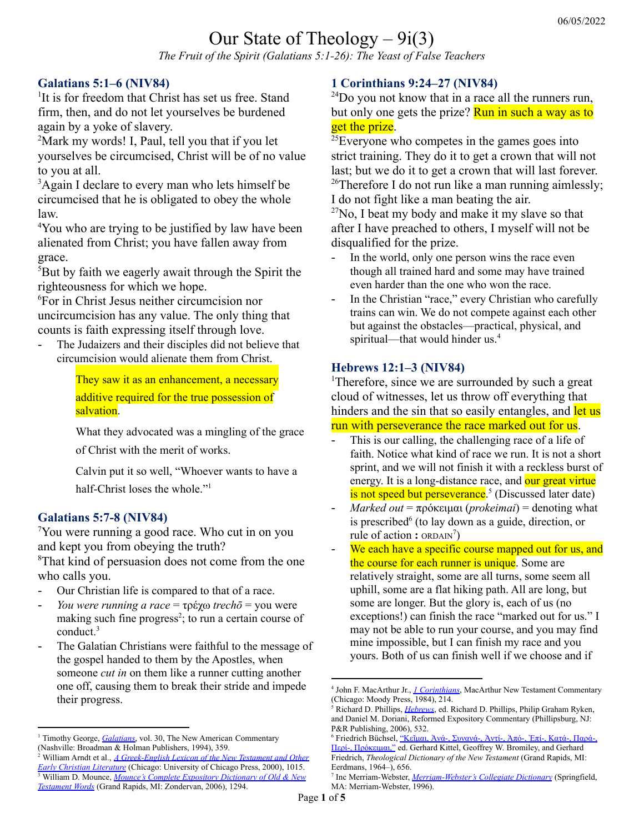# Our State of Theology  $-9i(3)$

*The Fruit of the Spirit (Galatians 5:1-26): The Yeast of False Teachers*

#### **Galatians 5:1–6 (NIV84)**

<sup>1</sup>It is for freedom that Christ has set us free. Stand firm, then, and do not let yourselves be burdened again by a yoke of slavery.

<sup>2</sup>Mark my words! I, Paul, tell you that if you let yourselves be circumcised, Christ will be of no value to you at all.

<sup>3</sup>Again I declare to every man who lets himself be circumcised that he is obligated to obey the whole law.

<sup>4</sup>You who are trying to be justified by law have been alienated from Christ; you have fallen away from grace.

<sup>5</sup>But by faith we eagerly await through the Spirit the righteousness for which we hope.

<sup>6</sup>For in Christ Jesus neither circumcision nor uncircumcision has any value. The only thing that counts is faith expressing itself through love.

The Judaizers and their disciples did not believe that circumcision would alienate them from Christ.

> They saw it as an enhancement, a necessary additive required for the true possession of salvation.

What they advocated was a mingling of the grace of Christ with the merit of works.

Calvin put it so well, "Whoever wants to have a half-Christ loses the whole." 1

#### **Galatians 5:7-8 (NIV84)**

<sup>7</sup>You were running a good race. Who cut in on you and kept you from obeying the truth?

<sup>8</sup>That kind of persuasion does not come from the one who calls you.

- Our Christian life is compared to that of a race.
- *You were running a race* = τρέχω *trechō* = you were making such fine progress<sup>2</sup>; to run a certain course of conduct. 3
- The Galatian Christians were faithful to the message of the gospel handed to them by the Apostles, when someone *cut in* on them like a runner cutting another one off, causing them to break their stride and impede their progress.

#### **1 Corinthians 9:24–27 (NIV84)**

 $^{24}$ Do you not know that in a race all the runners run, but only one gets the prize? Run in such a way as to get the prize.

 $25$ Everyone who competes in the games goes into strict training. They do it to get a crown that will not last; but we do it to get a crown that will last forever. <sup>26</sup>Therefore I do not run like a man running aimlessly; I do not fight like a man beating the air.

 $27$ No, I beat my body and make it my slave so that after I have preached to others, I myself will not be disqualified for the prize.

- In the world, only one person wins the race even though all trained hard and some may have trained even harder than the one who won the race.
- In the Christian "race," every Christian who carefully trains can win. We do not compete against each other but against the obstacles—practical, physical, and spiritual—that would hinder us. 4

#### **Hebrews 12:1–3 (NIV84)**

<sup>1</sup>Therefore, since we are surrounded by such a great cloud of witnesses, let us throw off everything that hinders and the sin that so easily entangles, and let us

run with perseverance the race marked out for us.

- This is our calling, the challenging race of a life of faith. Notice what kind of race we run. It is not a short sprint, and we will not finish it with a reckless burst of energy. It is a long-distance race, and our great virtue is not speed but perseverance.<sup>5</sup> (Discussed later date)
- *Marked out* = πρόκειμαι (*prokeimai*) = denoting what is prescribed 6 (to lay down as a guide, direction, or rule of action : ORDAIN<sup>7</sup>)
- We each have a specific course mapped out for us, and the course for each runner is unique. Some are relatively straight, some are all turns, some seem all uphill, some are a flat hiking path. All are long, but some are longer. But the glory is, each of us (no exceptions!) can finish the race "marked out for us." I may not be able to run your course, and you may find mine impossible, but I can finish my race and you yours. Both of us can finish well if we choose and if

<sup>&</sup>lt;sup>1</sup> Timothy George, *[Galatians](https://ref.ly/logosres/nac30?ref=Bible.Ga5.4&off=704&ctx=aul+was+saying+that+~those+who+had+renoun)*, vol. 30, The New American Commentary (Nashville: Broadman & Holman Publishers, 1994), 359.

<sup>3</sup> William D. Mounce, *Mounce's Complete [Expository](https://ref.ly/logosres/mounceexpdic?ref=GreekGK.GGK5556&off=118&ctx=6%3b+Heb.+12%3a1%3b+in+NT+~to+run+a+certain+cou) Dictionary of Old & New [Testament](https://ref.ly/logosres/mounceexpdic?ref=GreekGK.GGK5556&off=118&ctx=6%3b+Heb.+12%3a1%3b+in+NT+~to+run+a+certain+cou) Words* (Grand Rapids, MI: Zondervan, 2006), 1294. <sup>2</sup> William Arndt et al., *A [Greek-English](https://ref.ly/logosres/bdag?ref=Page.p+1015&off=2524&ctx=.+%CE%B5%CC%93%CF%84%CF%81%CE%B5%CC%81%CF%87%CE%B5%CF%84%CE%B5+%CE%BA%CE%B1%CE%BB%CF%89%CD%82%CF%82+~you+were+making+such) Lexicon of the New Testament and Other Early Christian [Literature](https://ref.ly/logosres/bdag?ref=Page.p+1015&off=2524&ctx=.+%CE%B5%CC%93%CF%84%CF%81%CE%B5%CC%81%CF%87%CE%B5%CF%84%CE%B5+%CE%BA%CE%B1%CE%BB%CF%89%CD%82%CF%82+~you+were+making+such)* (Chicago: University of Chicago Press, 2000), 1015.

<sup>4</sup> John F. MacArthur Jr., *1 [Corinthians](https://ref.ly/logosres/1comntc?ref=Bible.1Co9.24-27&off=1508&ctx=ers%2c+only+one+wins.%0a~A+great+difference+b)*, MacArthur New Testament Commentary (Chicago: Moody Press, 1984), 214.

<sup>5</sup> Richard D. Phillips, *[Hebrews](https://ref.ly/logosres/rec79heb?ref=Bible.Heb12.1-3&off=9833&ctx=cted+and+entangled.%0a~This+is+our+calling%2c)*, ed. Richard D. Phillips, Philip Graham Ryken, and Daniel M. Doriani, Reformed Expository Commentary (Phillipsburg, NJ: P&R Publishing, 2006), 532.

<sup>6</sup> Friedrich Büchsel, "Κεῖμαι, Ἀνά-, [Συνανά-,](https://ref.ly/logosres/tdnt?ref=GreekStrongs.4295&off=282&ctx=+C.+8%3a12%3b+Hb.+12%3a2%2c+~denoting+what+is+pre) Ἀντί-, Ἀπό-, Ἐπί-, Κατά-, Παρά-, Περί-, [Πρόκειμαι,"](https://ref.ly/logosres/tdnt?ref=GreekStrongs.4295&off=282&ctx=+C.+8%3a12%3b+Hb.+12%3a2%2c+~denoting+what+is+pre) ed. Gerhard Kittel, Geoffrey W. Bromiley, and Gerhard Friedrich, *Theological Dictionary of the New Testament* (Grand Rapids, MI: Eerdmans, 1964–), 656.

<sup>7</sup> Inc Merriam-Webster, *[Merriam-Webster's](https://ref.ly/logosres/mwdict?hw=prescribe&off=527&ctx=ansitive+verb%0a1+a+%3a+~to+lay+down+as+a+gui) Collegiate Dictionary* (Springfield, MA: Merriam-Webster, 1996).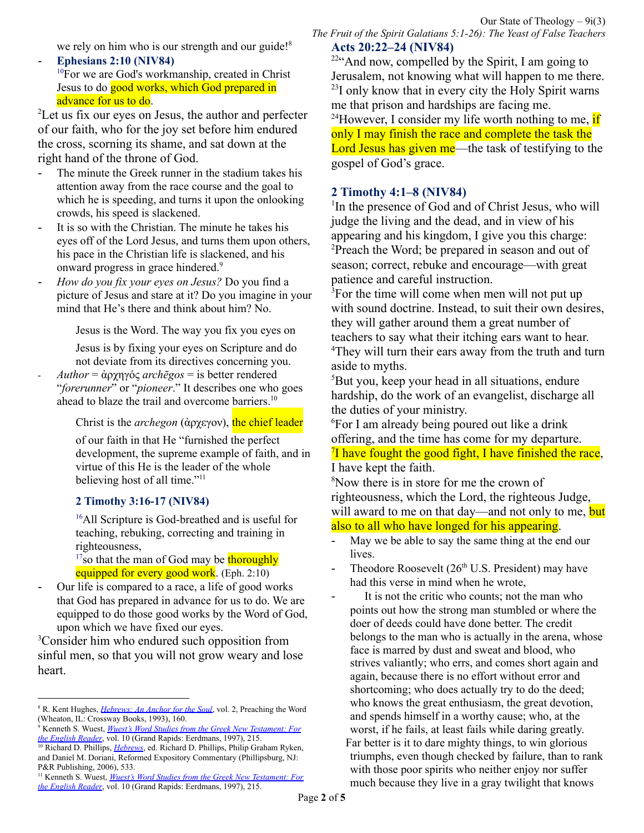we rely on him who is our strength and our guide!<sup>8</sup>

- **Ephesians 2:10 (NIV84)** <sup>10</sup>For we are God's workmanship, created in Christ Jesus to do good works, which God prepared in advance for us to do.

<sup>2</sup>Let us fix our eyes on Jesus, the author and perfecter of our faith, who for the joy set before him endured the cross, scorning its shame, and sat down at the right hand of the throne of God.

- The minute the Greek runner in the stadium takes his attention away from the race course and the goal to which he is speeding, and turns it upon the onlooking crowds, his speed is slackened.
- It is so with the Christian. The minute he takes his eyes off of the Lord Jesus, and turns them upon others, his pace in the Christian life is slackened, and his onward progress in grace hindered. 9
- *How do you fix your eyes on Jesus?* Do you find a picture of Jesus and stare at it? Do you imagine in your mind that He's there and think about him? No.

Jesus is the Word. The way you fix you eyes on

Jesus is by fixing your eyes on Scripture and do not deviate from its directives concerning you.

- *Author* = ἀρχηγός *archēgos* = is better rendered "*forerunner*" or "*pioneer*." It describes one who goes ahead to blaze the trail and overcome barriers. 10

Christ is the *archegon* (ἀρχεγον), the chief leader

of our faith in that He "furnished the perfect development, the supreme example of faith, and in virtue of this He is the leader of the whole believing host of all time."<sup>11</sup>

#### **2 Timothy 3:16-17 (NIV84)**

<sup>16</sup>All Scripture is God-breathed and is useful for teaching, rebuking, correcting and training in righteousness,

 $17$ so that the man of God may be thoroughly equipped for every good work. (Eph. 2:10)

Our life is compared to a race, a life of good works that God has prepared in advance for us to do. We are equipped to do those good works by the Word of God, upon which we have fixed our eyes.

<sup>3</sup>Consider him who endured such opposition from sinful men, so that you will not grow weary and lose heart.

*The Fruit of the Spirit Galatians 5:1-26): The Yeast of False Teachers* **Acts 20:22–24 (NIV84)**

<sup>22</sup>"And now, compelled by the Spirit, I am going to Jerusalem, not knowing what will happen to me there.  $2<sup>23</sup>I$  only know that in every city the Holy Spirit warns me that prison and hardships are facing me. <sup>24</sup>However, I consider my life worth nothing to me,  $if$ only I may finish the race and complete the task the Lord Jesus has given me—the task of testifying to the gospel of God's grace.

#### **2 Timothy 4:1–8 (NIV84)**

<sup>1</sup>In the presence of God and of Christ Jesus, who will judge the living and the dead, and in view of his appearing and his kingdom, I give you this charge: <sup>2</sup>Preach the Word; be prepared in season and out of season; correct, rebuke and encourage—with great patience and careful instruction.

<sup>3</sup>For the time will come when men will not put up with sound doctrine. Instead, to suit their own desires, they will gather around them a great number of teachers to say what their itching ears want to hear. <sup>4</sup>They will turn their ears away from the truth and turn aside to myths.

<sup>5</sup>But you, keep your head in all situations, endure hardship, do the work of an evangelist, discharge all the duties of your ministry.

<sup>6</sup>For I am already being poured out like a drink offering, and the time has come for my departure. <sup>7</sup>I have fought the good fight, I have finished the race, I have kept the faith.

<sup>8</sup>Now there is in store for me the crown of righteousness, which the Lord, the righteous Judge, will award to me on that day—and not only to me, but also to all who have longed for his appearing.

- May we be able to say the same thing at the end our lives.
- Theodore Roosevelt  $(26<sup>th</sup> U.S.$  President) may have had this verse in mind when he wrote,
- It is not the critic who counts; not the man who points out how the strong man stumbled or where the doer of deeds could have done better. The credit belongs to the man who is actually in the arena, whose face is marred by dust and sweat and blood, who strives valiantly; who errs, and comes short again and again, because there is no effort without error and shortcoming; who does actually try to do the deed; who knows the great enthusiasm, the great devotion, and spends himself in a worthy cause; who, at the worst, if he fails, at least fails while daring greatly. Far better is it to dare mighty things, to win glorious triumphs, even though checked by failure, than to rank with those poor spirits who neither enjoy nor suffer much because they live in a gray twilight that knows

<sup>8</sup> R. Kent Hughes, *[Hebrews:](https://ref.ly/logosres/prwdhebr?ref=Bible.Heb12.1-3&off=8009&ctx=Run+the+Course%0a~We+each+have+a+specific+c) An Anchor for the Soul*, vol. 2, Preaching the Word (Wheaton, IL: Crossway Books, 1993), 160.

<sup>9</sup> Kenneth S. Wuest, *Wuest's Word Studies from the Greek New [Testament:](https://ref.ly/logosres/wuest?ref=Bible.Heb12.2&off=741&ctx=fixed+to+this+verb.+~The+minute+the+Greek) For the [English](https://ref.ly/logosres/wuest?ref=Bible.Heb12.2&off=741&ctx=fixed+to+this+verb.+~The+minute+the+Greek) Reader*, vol. 10 (Grand Rapids: Eerdmans, 1997), 215.

<sup>&</sup>lt;sup>10</sup> Richard D. Phillips, *[Hebrews](https://ref.ly/logosres/rec79heb?ref=Bible.Heb12.1-3&off=11853&ctx=founder%E2%80%9D+(arch%C4%93gos)+~is+better+rendered+%E2%80%9C)*, ed. Richard D. Phillips, Philip Graham Ryken, and Daniel M. Doriani, Reformed Expository Commentary (Phillipsburg, NJ: P&R Publishing, 2006), 533.

<sup>11</sup> Kenneth S. Wuest, *Wuest's Word Studies from the Greek New [Testament:](https://ref.ly/logosres/wuest?ref=Bible.Heb12.2&off=1914&ctx=t+faith+absolutely.+~Christ+is+the+archeg) For the [English](https://ref.ly/logosres/wuest?ref=Bible.Heb12.2&off=1914&ctx=t+faith+absolutely.+~Christ+is+the+archeg) Reader*, vol. 10 (Grand Rapids: Eerdmans, 1997), 215.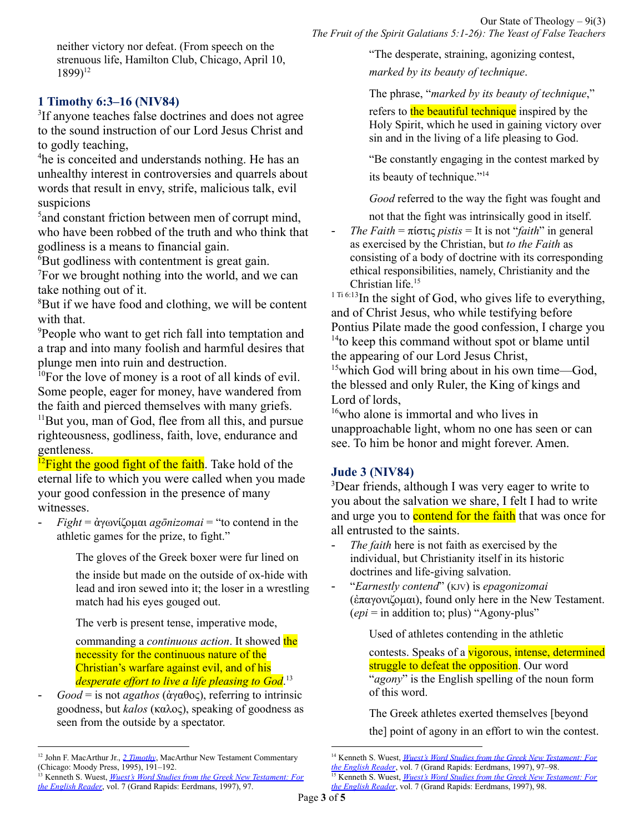neither victory nor defeat. (From speech on the strenuous life, Hamilton Club, Chicago, April 10, 1899) 12

#### **1 Timothy 6:3–16 (NIV84)**

<sup>3</sup>If anyone teaches false doctrines and does not agree to the sound instruction of our Lord Jesus Christ and to godly teaching,

<sup>4</sup>he is conceited and understands nothing. He has an unhealthy interest in controversies and quarrels about words that result in envy, strife, malicious talk, evil suspicions

<sup>5</sup> and constant friction between men of corrupt mind, who have been robbed of the truth and who think that godliness is a means to financial gain.

 $\overline{6}$ But godliness with contentment is great gain.

<sup>7</sup>For we brought nothing into the world, and we can take nothing out of it.

<sup>8</sup>But if we have food and clothing, we will be content with that.

<sup>9</sup>People who want to get rich fall into temptation and a trap and into many foolish and harmful desires that plunge men into ruin and destruction.

 $10$ For the love of money is a root of all kinds of evil. Some people, eager for money, have wandered from the faith and pierced themselves with many griefs.

<sup>11</sup>But you, man of God, flee from all this, and pursue righteousness, godliness, faith, love, endurance and gentleness.

 $^{12}$ Fight the good fight of the faith. Take hold of the eternal life to which you were called when you made your good confession in the presence of many witnesses.

- *Fight* = ἀγωνίζομαι *agōnizomai* = "to contend in the athletic games for the prize, to fight."

The gloves of the Greek boxer were fur lined on

the inside but made on the outside of ox-hide with lead and iron sewed into it; the loser in a wrestling match had his eyes gouged out.

The verb is present tense, imperative mode,

commanding a *continuous action*. It showed the necessity for the continuous nature of the Christian's warfare against evil, and of his *desperate ef ort to live a life pleasing to God*. 13

- *Good* = is not *agathos* (ἀγαθος), referring to intrinsic goodness, but *kalos* (καλος), speaking of goodness as seen from the outside by a spectator.

"The desperate, straining, agonizing contest,

*marked by its beauty of technique*.

The phrase, "*marked by its beauty of technique*,"

refers to the beautiful technique inspired by the Holy Spirit, which he used in gaining victory over sin and in the living of a life pleasing to God.

"Be constantly engaging in the contest marked by its beauty of technique." 14

*Good* referred to the way the fight was fought and

not that the fight was intrinsically good in itself.

*The Faith* =  $\pi$ ίστις *pistis* = It is not "*faith*" in general as exercised by the Christian, but *to the Faith* as consisting of a body of doctrine with its corresponding ethical responsibilities, namely, Christianity and the Christian life. 15

 $1^{1}$  Ti 6:13In the sight of God, who gives life to everything, and of Christ Jesus, who while testifying before Pontius Pilate made the good confession, I charge you <sup>14</sup> to keep this command without spot or blame until the appearing of our Lord Jesus Christ,

 $15$ which God will bring about in his own time—God, the blessed and only Ruler, the King of kings and Lord of lords,

<sup>16</sup>who alone is immortal and who lives in unapproachable light, whom no one has seen or can see. To him be honor and might forever. Amen.

#### **Jude 3 (NIV84)**

<sup>3</sup>Dear friends, although I was very eager to write to you about the salvation we share, I felt I had to write and urge you to **contend for the faith** that was once for all entrusted to the saints.

- The *faith* here is not faith as exercised by the individual, but Christianity itself in its historic doctrines and life-giving salvation.
- "*Earnestly contend*" (KJV) is *epagonizomai* (ἐπαγονιζομαι), found only here in the New Testament. (*epi* = in addition to; plus) "Agony-plus"

Used of athletes contending in the athletic

contests. Speaks of a **vigorous**, intense, determined struggle to defeat the opposition. Our word "*agony*" is the English spelling of the noun form of this word.

The Greek athletes exerted themselves [beyond

the] point of agony in an effort to win the contest.

<sup>12</sup> John F. MacArthur Jr., *2 [Timothy](https://ref.ly/logosres/2timmntc?ref=Bible.2Ti4.7&off=365&ctx=ment+too+demanding.%0a~Perhaps+Theodore+Roo)*, MacArthur New Testament Commentary (Chicago: Moody Press, 1995), 191–192.

<sup>13</sup> Kenneth S. Wuest, *Wuest's Word Studies from the Greek New [Testament:](https://ref.ly/logosres/wuest?ref=Bible.1Ti6.12&off=1130&ctx=le.+The+verb+means%2c+~%E2%80%9Cto+contend+in+the+a) For the [English](https://ref.ly/logosres/wuest?ref=Bible.1Ti6.12&off=1130&ctx=le.+The+verb+means%2c+~%E2%80%9Cto+contend+in+the+a) Reader*, vol. 7 (Grand Rapids: Eerdmans, 1997), 97.

<sup>14</sup> Kenneth S. Wuest, *Wuest's Word Studies from the Greek New [Testament:](https://ref.ly/logosres/wuest?ref=Bible.1Ti6.12&off=1952&ctx=t.%E2%80%9D+The+word+%E2%80%9Cgood%E2%80%9D+~is+not+agathos+(%CE%B1%CC%93%CE%B3%CE%B1) For the [English](https://ref.ly/logosres/wuest?ref=Bible.1Ti6.12&off=1952&ctx=t.%E2%80%9D+The+word+%E2%80%9Cgood%E2%80%9D+~is+not+agathos+(%CE%B1%CC%93%CE%B3%CE%B1) Reader*, vol. 7 (Grand Rapids: Eerdmans, 1997), 97–98.

<sup>15</sup> Kenneth S. Wuest, *Wuest's Word Studies from the Greek New [Testament:](https://ref.ly/logosres/wuest?ref=Bible.1Ti6.12&off=2850&ctx=+text%2c+%E2%80%9Cthe+faith.%E2%80%9D+~It+is+not+%E2%80%9Cfaith%E2%80%9D+in) For the [English](https://ref.ly/logosres/wuest?ref=Bible.1Ti6.12&off=2850&ctx=+text%2c+%E2%80%9Cthe+faith.%E2%80%9D+~It+is+not+%E2%80%9Cfaith%E2%80%9D+in) Reader*, vol. 7 (Grand Rapids: Eerdmans, 1997), 98.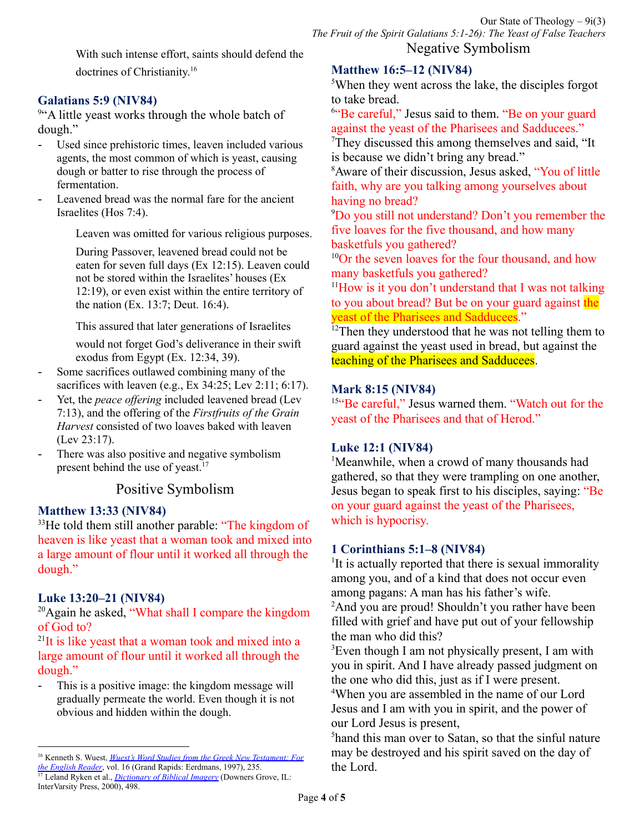With such intense effort, saints should defend the doctrines of Christianity. 16

#### **Galatians 5:9 (NIV84)**

<sup>9"</sup>A little yeast works through the whole batch of dough."

- Used since prehistoric times, leaven included various agents, the most common of which is yeast, causing dough or batter to rise through the process of fermentation.
- Leavened bread was the normal fare for the ancient Israelites (Hos 7:4).

Leaven was omitted for various religious purposes.

During Passover, leavened bread could not be eaten for seven full days (Ex 12:15). Leaven could not be stored within the Israelites' houses (Ex 12:19), or even exist within the entire territory of the nation (Ex. 13:7; Deut. 16:4).

This assured that later generations of Israelites

would not forget God's deliverance in their swift exodus from Egypt (Ex. 12:34, 39).

- Some sacrifices outlawed combining many of the sacrifices with leaven (e.g., Ex 34:25; Lev 2:11; 6:17).
- Yet, the *peace offering* included leavened bread (Lev 7:13), and the offering of the *Firstfruits of the Grain Harvest* consisted of two loaves baked with leaven (Lev 23:17).
- There was also positive and negative symbolism present behind the use of yeast.<sup>17</sup>

## Positive Symbolism

## **Matthew 13:33 (NIV84)**

<sup>33</sup>He told them still another parable: "The kingdom of heaven is like yeast that a woman took and mixed into a large amount of flour until it worked all through the dough."

## **Luke 13:20–21 (NIV84)**

InterVarsity Press, 2000), 498.

 $20$ Again he asked, "What shall I compare the kingdom of God to?

<sup>21</sup>It is like yeast that a woman took and mixed into a large amount of flour until it worked all through the dough."

- This is a positive image: the kingdom message will gradually permeate the world. Even though it is not obvious and hidden within the dough.

# **Matthew 16:5–12 (NIV84)**

<sup>5</sup>When they went across the lake, the disciples forgot to take bread.

<sup>6"</sup>Be careful," Jesus said to them. "Be on your guard against the yeast of the Pharisees and Sadducees."

<sup>7</sup>They discussed this among themselves and said, "It is because we didn't bring any bread."

<sup>8</sup>Aware of their discussion, Jesus asked, "You of little faith, why are you talking among yourselves about having no bread?

<sup>9</sup>Do you still not understand? Don't you remember the five loaves for the five thousand, and how many basketfuls you gathered?

<sup>10</sup>Or the seven loaves for the four thousand, and how many basketfuls you gathered?

 $11$ How is it you don't understand that I was not talking to you about bread? But be on your guard against the yeast of the Pharisees and Sadducees."

 $12$ Then they understood that he was not telling them to guard against the yeast used in bread, but against the teaching of the Pharisees and Sadducees.

#### **Mark 8:15 (NIV84)**

<sup>15"</sup>Be careful," Jesus warned them. "Watch out for the yeast of the Pharisees and that of Herod."

## **Luke 12:1 (NIV84)**

<sup>1</sup>Meanwhile, when a crowd of many thousands had gathered, so that they were trampling on one another, Jesus began to speak first to his disciples, saying: "Be on your guard against the yeast of the Pharisees, which is hypocrisy.

## **1 Corinthians 5:1–8 (NIV84)**

<sup>1</sup>It is actually reported that there is sexual immorality among you, and of a kind that does not occur even among pagans: A man has his father's wife.

<sup>2</sup>And you are proud! Shouldn't you rather have been filled with grief and have put out of your fellowship the man who did this?

<sup>3</sup>Even though I am not physically present, I am with you in spirit. And I have already passed judgment on the one who did this, just as if I were present.

<sup>4</sup>When you are assembled in the name of our Lord Jesus and I am with you in spirit, and the power of our Lord Jesus is present,

<sup>5</sup>hand this man over to Satan, so that the sinful nature may be destroyed and his spirit saved on the day of the Lord.

<sup>17</sup> Leland Ryken et al., *[Dictionary](https://ref.ly/logosres/dbibimg?ref=Page.p+498&off=2527&ctx=LEAVEN%2c+LEAVENING%0a~Used+since+prehistoric) of Biblical Imagery* (Downers Grove, IL: <sup>16</sup> Kenneth S. Wuest, *Wuest's Word Studies from the Greek New [Testament:](https://ref.ly/logosres/wuest?ref=Bible.Jud3&off=2110&ctx=tend+for+the+faith.+~The+faith+here+is+no) For the [English](https://ref.ly/logosres/wuest?ref=Bible.Jud3&off=2110&ctx=tend+for+the+faith.+~The+faith+here+is+no) Reader*, vol. 16 (Grand Rapids: Eerdmans, 1997), 235.